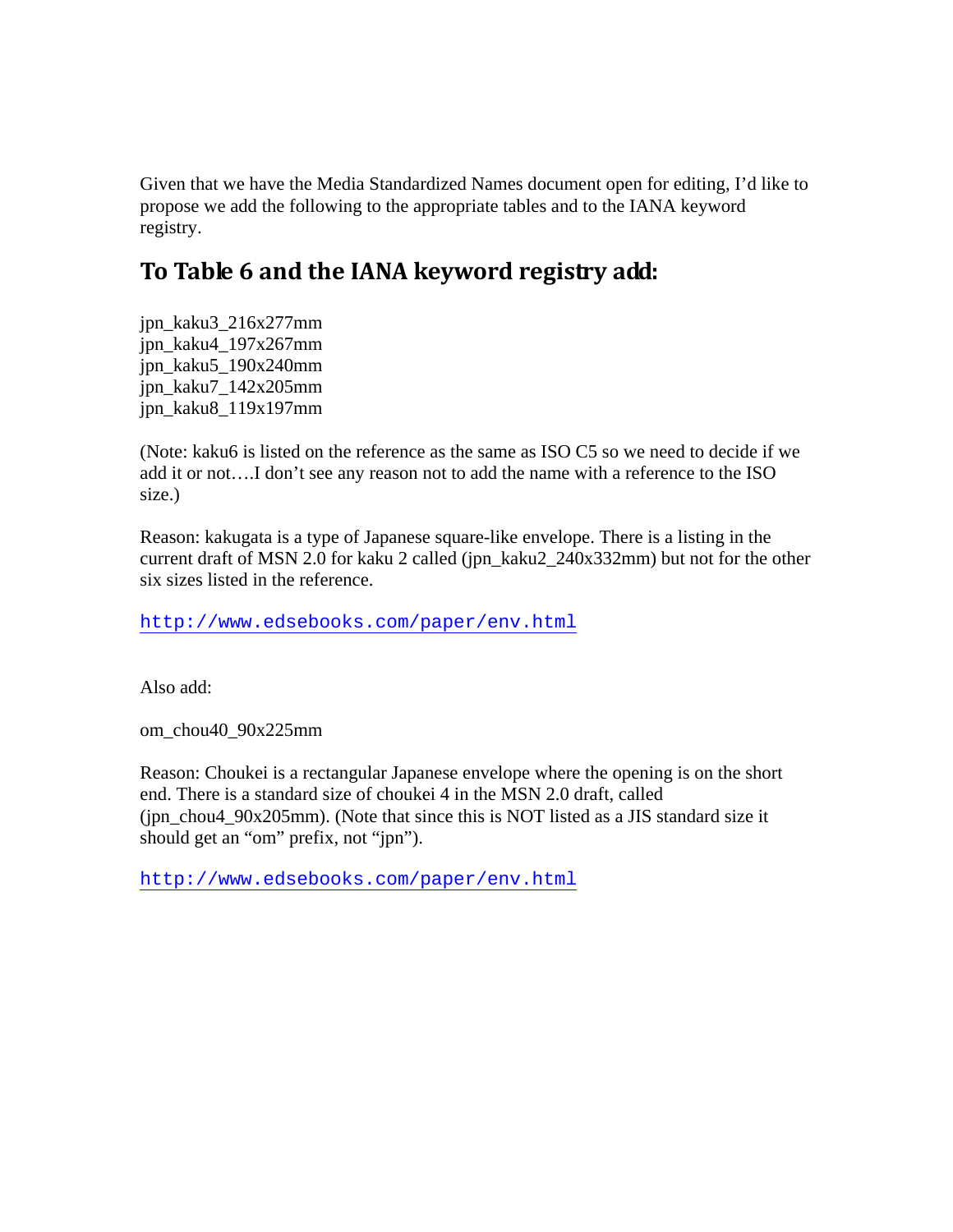Given that we have the Media Standardized Names document open for editing, I'd like to propose we add the following to the appropriate tables and to the IANA keyword registry.

## **To Table 6 and the IANA keyword registry add:**

jpn\_kaku3\_216x277mm jpn\_kaku4\_197x267mm jpn\_kaku5\_190x240mm jpn\_kaku7\_142x205mm jpn\_kaku8\_119x197mm

(Note: kaku6 is listed on the reference as the same as ISO C5 so we need to decide if we add it or not….I don't see any reason not to add the name with a reference to the ISO size.)

Reason: kakugata is a type of Japanese square-like envelope. There is a listing in the current draft of MSN 2.0 for kaku 2 called (jpn\_kaku2\_240x332mm) but not for the other six sizes listed in the reference.

http://www.edsebooks.com/paper/env.html

Also add:

om\_chou40\_90x225mm

Reason: Choukei is a rectangular Japanese envelope where the opening is on the short end. There is a standard size of choukei 4 in the MSN 2.0 draft, called (jpn\_chou4\_90x205mm). (Note that since this is NOT listed as a JIS standard size it should get an "om" prefix, not "jpn").

http://www.edsebooks.com/paper/env.html